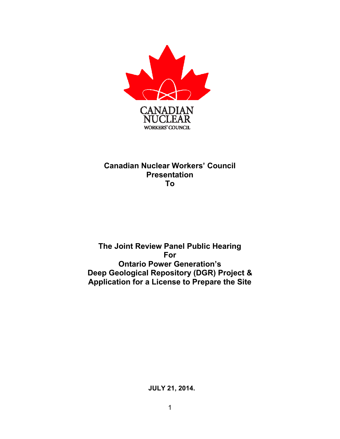

### **Canadian Nuclear Workers' Council Presentation To**

### **The Joint Review Panel Public Hearing For Ontario Power Generation's Deep Geological Repository (DGR) Project & Application for a License to Prepare the Site**

 **JULY 21, 2014.**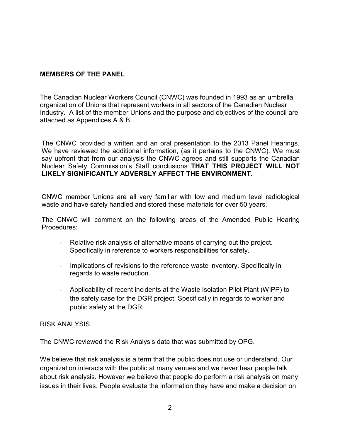#### **MEMBERS OF THE PANEL**

The Canadian Nuclear Workers Council (CNWC) was founded in 1993 as an umbrella organization of Unions that represent workers in all sectors of the Canadian Nuclear Industry. A list of the member Unions and the purpose and objectives of the council are attached as Appendices A & B.

The CNWC provided a written and an oral presentation to the 2013 Panel Hearings. We have reviewed the additional information, (as it pertains to the CNWC). We must say upfront that from our analysis the CNWC agrees and still supports the Canadian Nuclear Safety Commission's Staff conclusions **THAT THIS PROJECT WILL NOT LIKELY SIGNIFICANTLY ADVERSLY AFFECT THE ENVIRONMENT.**

CNWC member Unions are all very familiar with low and medium level radiological waste and have safely handled and stored these materials for over 50 years.

The CNWC will comment on the following areas of the Amended Public Hearing Procedures:

- Relative risk analysis of alternative means of carrying out the project. Specifically in reference to workers responsibilities for safety.
- Implications of revisions to the reference waste inventory. Specifically in regards to waste reduction.
- Applicability of recent incidents at the Waste Isolation Pilot Plant (WIPP) to the safety case for the DGR project. Specifically in regards to worker and public safety at the DGR.

#### RISK ANALYSIS

The CNWC reviewed the Risk Analysis data that was submitted by OPG.

We believe that risk analysis is a term that the public does not use or understand. Our organization interacts with the public at many venues and we never hear people talk about risk analysis. However we believe that people do perform a risk analysis on many issues in their lives. People evaluate the information they have and make a decision on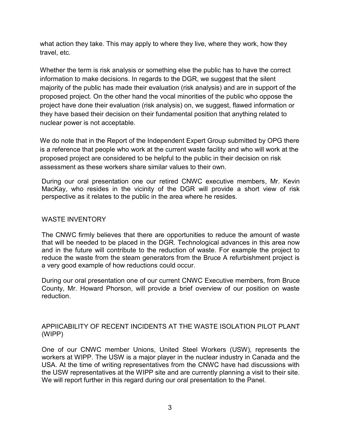what action they take. This may apply to where they live, where they work, how they travel, etc.

Whether the term is risk analysis or something else the public has to have the correct information to make decisions. In regards to the DGR, we suggest that the silent majority of the public has made their evaluation (risk analysis) and are in support of the proposed project. On the other hand the vocal minorities of the public who oppose the project have done their evaluation (risk analysis) on, we suggest, flawed information or they have based their decision on their fundamental position that anything related to nuclear power is not acceptable.

We do note that in the Report of the Independent Expert Group submitted by OPG there is a reference that people who work at the current waste facility and who will work at the proposed project are considered to be helpful to the public in their decision on risk assessment as these workers share similar values to their own.

During our oral presentation one our retired CNWC executive members, Mr. Kevin MacKay, who resides in the vicinity of the DGR will provide a short view of risk perspective as it relates to the public in the area where he resides.

#### WASTE INVENTORY

The CNWC firmly believes that there are opportunities to reduce the amount of waste that will be needed to be placed in the DGR. Technological advances in this area now and in the future will contribute to the reduction of waste. For example the project to reduce the waste from the steam generators from the Bruce A refurbishment project is a very good example of how reductions could occur.

During our oral presentation one of our current CNWC Executive members, from Bruce County, Mr. Howard Phorson, will provide a brief overview of our position on waste reduction.

#### APPIICABILITY OF RECENT INCIDENTS AT THE WASTE ISOLATION PILOT PLANT (WIPP)

One of our CNWC member Unions, United Steel Workers (USW), represents the workers at WIPP. The USW is a major player in the nuclear industry in Canada and the USA. At the time of writing representatives from the CNWC have had discussions with the USW representatives at the WIPP site and are currently planning a visit to their site. We will report further in this regard during our oral presentation to the Panel.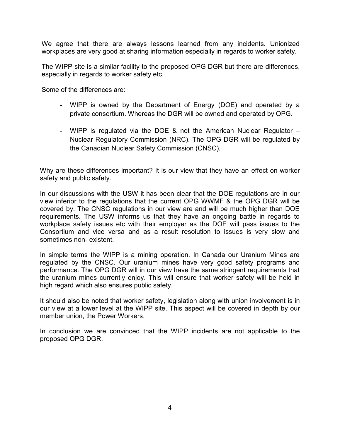We agree that there are always lessons learned from any incidents. Unionized workplaces are very good at sharing information especially in regards to worker safety.

The WIPP site is a similar facility to the proposed OPG DGR but there are differences, especially in regards to worker safety etc.

Some of the differences are:

- WIPP is owned by the Department of Energy (DOE) and operated by a private consortium. Whereas the DGR will be owned and operated by OPG.
- WIPP is regulated via the DOE & not the American Nuclear Regulator Nuclear Regulatory Commission (NRC). The OPG DGR will be regulated by the Canadian Nuclear Safety Commission (CNSC).

Why are these differences important? It is our view that they have an effect on worker safety and public safety.

In our discussions with the USW it has been clear that the DOE regulations are in our view inferior to the regulations that the current OPG WWMF & the OPG DGR will be covered by. The CNSC regulations in our view are and will be much higher than DOE requirements. The USW informs us that they have an ongoing battle in regards to workplace safety issues etc with their employer as the DOE will pass issues to the Consortium and vice versa and as a result resolution to issues is very slow and sometimes non- existent.

In simple terms the WIPP is a mining operation. In Canada our Uranium Mines are regulated by the CNSC. Our uranium mines have very good safety programs and performance. The OPG DGR will in our view have the same stringent requirements that the uranium mines currently enjoy. This will ensure that worker safety will be held in high regard which also ensures public safety.

It should also be noted that worker safety, legislation along with union involvement is in our view at a lower level at the WIPP site. This aspect will be covered in depth by our member union, the Power Workers.

In conclusion we are convinced that the WIPP incidents are not applicable to the proposed OPG DGR.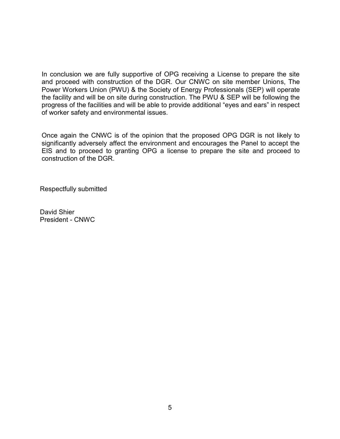In conclusion we are fully supportive of OPG receiving a License to prepare the site and proceed with construction of the DGR. Our CNWC on site member Unions, The Power Workers Union (PWU) & the Society of Energy Professionals (SEP) will operate the facility and will be on site during construction. The PWU & SEP will be following the progress of the facilities and will be able to provide additional "eyes and ears" in respect of worker safety and environmental issues.

Once again the CNWC is of the opinion that the proposed OPG DGR is not likely to significantly adversely affect the environment and encourages the Panel to accept the EIS and to proceed to granting OPG a license to prepare the site and proceed to construction of the DGR.

Respectfully submitted

David Shier President - CNWC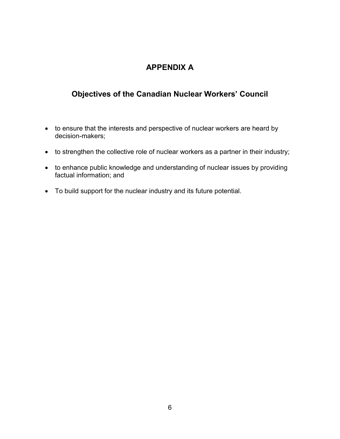## **APPENDIX A**

## **Objectives of the Canadian Nuclear Workers' Council**

- to ensure that the interests and perspective of nuclear workers are heard by decision-makers;
- to strengthen the collective role of nuclear workers as a partner in their industry;
- to enhance public knowledge and understanding of nuclear issues by providing factual information; and
- To build support for the nuclear industry and its future potential.